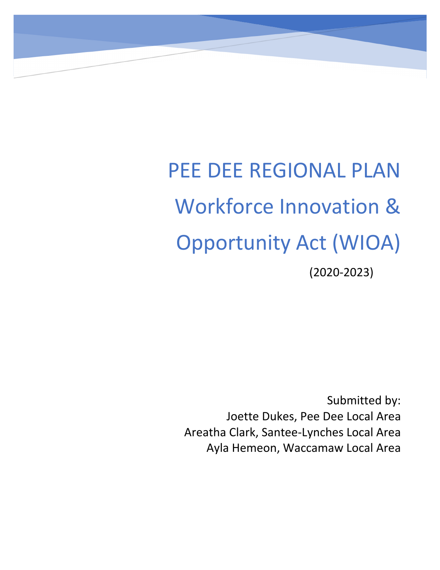# PEE DEE REGIONAL PLAN Workforce Innovation & Opportunity Act (WIOA) (2020-2023)

Submitted by: Joette Dukes, Pee Dee Local Area Areatha Clark, Santee-Lynches Local Area Ayla Hemeon, Waccamaw Local Area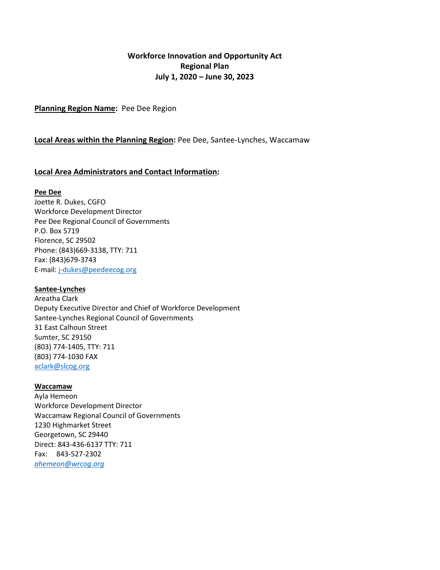## **Workforce Innovation and Opportunity Act Regional Plan July 1, 2020 – June 30, 2023**

**Planning Region Name:** Pee Dee Region

#### **Local Areas within the Planning Region:** Pee Dee, Santee-Lynches, Waccamaw

#### **Local Area Administrators and Contact Information:**

#### **Pee Dee**

Joette R. Dukes, CGFO Workforce Development Director Pee Dee Regional Council of Governments P.O. Box 5719 Florence, SC 29502 Phone: (843)669-3138, TTY: 711 Fax: (843)679-3743 E-mail: [j-dukes@peedeecog.org](mailto:j-dukes@peedeecog.org)

#### **Santee-Lynches**

Areatha Clark Deputy Executive Director and Chief of Workforce Development Santee-Lynches Regional Council of Governments 31 East Calhoun Street Sumter, SC 29150 (803) 774-1405, TTY: 711 (803) 774-1030 FAX [aclark@slcog.org](mailto:aclark@slcog.org)

#### **Waccamaw**

Ayla Hemeon Workforce Development Director Waccamaw Regional Council of Governments 1230 Highmarket Street Georgetown, SC 29440 Direct: 843-436-6137 TTY: 711 Fax: 843-527-2302 *[ahemeon@wrcog.org](mailto:ahemeon@wrcog.org)*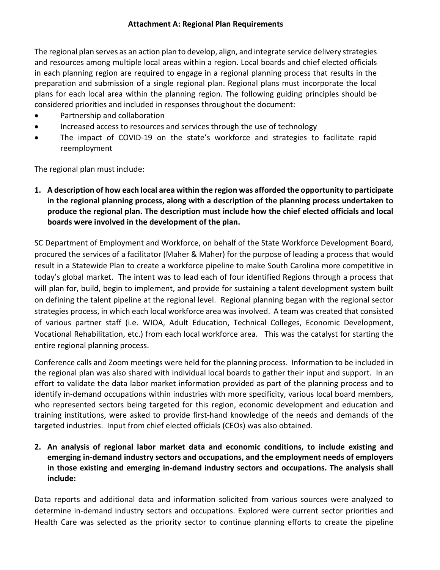The regional plan serves as an action plan to develop, align, and integrate service delivery strategies and resources among multiple local areas within a region. Local boards and chief elected officials in each planning region are required to engage in a regional planning process that results in the preparation and submission of a single regional plan. Regional plans must incorporate the local plans for each local area within the planning region. The following guiding principles should be considered priorities and included in responses throughout the document:

- Partnership and collaboration
- Increased access to resources and services through the use of technology
- The impact of COVID-19 on the state's workforce and strategies to facilitate rapid reemployment

The regional plan must include:

**1. A description of how each local area within the region was afforded the opportunity to participate in the regional planning process, along with a description of the planning process undertaken to produce the regional plan. The description must include how the chief elected officials and local boards were involved in the development of the plan.**

SC Department of Employment and Workforce, on behalf of the State Workforce Development Board, procured the services of a facilitator (Maher & Maher) for the purpose of leading a process that would result in a Statewide Plan to create a workforce pipeline to make South Carolina more competitive in today's global market. The intent was to lead each of four identified Regions through a process that will plan for, build, begin to implement, and provide for sustaining a talent development system built on defining the talent pipeline at the regional level. Regional planning began with the regional sector strategies process, in which each local workforce area was involved. A team was created that consisted of various partner staff (i.e. WIOA, Adult Education, Technical Colleges, Economic Development, Vocational Rehabilitation, etc.) from each local workforce area. This was the catalyst for starting the entire regional planning process.

Conference calls and Zoom meetings were held for the planning process. Information to be included in the regional plan was also shared with individual local boards to gather their input and support. In an effort to validate the data labor market information provided as part of the planning process and to identify in-demand occupations within industries with more specificity, various local board members, who represented sectors being targeted for this region, economic development and education and training institutions, were asked to provide first-hand knowledge of the needs and demands of the targeted industries. Input from chief elected officials (CEOs) was also obtained.

**2. An analysis of regional labor market data and economic conditions, to include existing and emerging in-demand industry sectors and occupations, and the employment needs of employers in those existing and emerging in-demand industry sectors and occupations. The analysis shall include:**

Data reports and additional data and information solicited from various sources were analyzed to determine in-demand industry sectors and occupations. Explored were current sector priorities and Health Care was selected as the priority sector to continue planning efforts to create the pipeline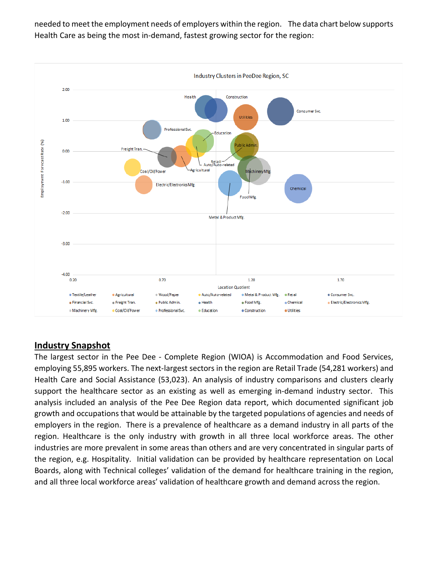needed to meet the employment needs of employers within the region. The data chart below supports Health Care as being the most in-demand, fastest growing sector for the region:



# **Industry Snapshot**

The largest sector in the Pee Dee - Complete Region (WIOA) is Accommodation and Food Services, employing 55,895 workers. The next-largest sectors in the region are Retail Trade (54,281 workers) and Health Care and Social Assistance (53,023). An analysis of industry comparisons and clusters clearly support the healthcare sector as an existing as well as emerging in-demand industry sector. This analysis included an analysis of the Pee Dee Region data report, which documented significant job growth and occupations that would be attainable by the targeted populations of agencies and needs of employers in the region. There is a prevalence of healthcare as a demand industry in all parts of the region. Healthcare is the only industry with growth in all three local workforce areas. The other industries are more prevalent in some areas than others and are very concentrated in singular parts of the region, e.g. Hospitality. Initial validation can be provided by healthcare representation on Local Boards, along with Technical colleges' validation of the demand for healthcare training in the region, and all three local workforce areas' validation of healthcare growth and demand across the region.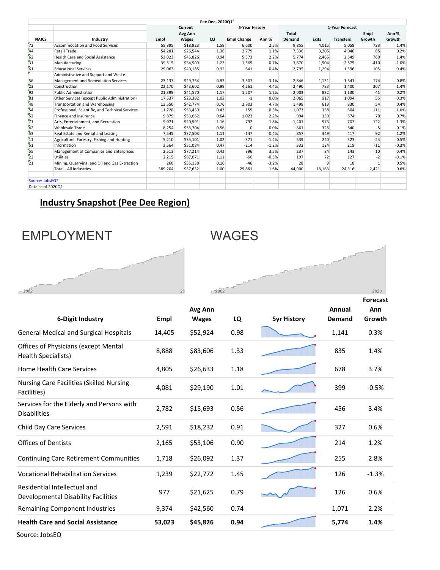|                             |                                                  |         |          | Pee Dee, 2020Q1 |                    |         |                 |              |                  |              |         |
|-----------------------------|--------------------------------------------------|---------|----------|-----------------|--------------------|---------|-----------------|--------------|------------------|--------------|---------|
|                             |                                                  |         | Current  |                 | 5-Year History     |         | 1-Year Forecast |              |                  |              |         |
|                             |                                                  |         | Avg Ann  |                 |                    |         | <b>Total</b>    |              |                  | Empl         | Ann %   |
| <b>NAICS</b>                | Industry                                         | Empl    | Wages    | LQ              | <b>Empl Change</b> | Ann %   | Demand          | <b>Exits</b> | <b>Transfers</b> | Growth       | Growth  |
| 72                          | <b>Accommodation and Food Services</b>           | 55,895  | \$18,923 | 1.59            | 6,600              | 2.5%    | 9,855           | 4,015        | 5,058            | 783          | 1.4%    |
| 44                          | Retail Trade                                     | 54,281  | \$26,544 | 1.36            | 2,779              | 1.1%    | 7,336           | 3,205        | 4,046            | 85           | 0.2%    |
| 62                          | <b>Health Care and Social Assistance</b>         | 53,023  | \$45,826 | 0.94            | 5,373              | 2.2%    | 5,774           | 2,465        | 2,549            | 760          | 1.4%    |
| $\overline{31}$             | Manufacturing                                    | 39,315  | \$54,909 | 1.23            | 1,365              | 0.7%    | 3,670           | 1,504        | 2,575            | $-410$       | $-1.0%$ |
| 61                          | <b>Educational Services</b>                      | 29,063  | \$40,185 | 0.92            | 641                | 0.4%    | 2,795           | 1,294        | 1,396            | 105          | 0.4%    |
|                             | Administrative and Support and Waste             |         |          |                 |                    |         |                 |              |                  |              |         |
| 56                          | Management and Remediation Services              | 23,133  | \$29,754 | 0.93            | 3,307              | 3.1%    | 2,846           | 1,131        | 1,541            | 174          | 0.8%    |
| 23                          | Construction                                     | 22,170  | \$43,602 | 0.99            | 4,261              | 4.4%    | 2,490           | 783          | 1,400            | 307          | 1.4%    |
| $\overline{92}$             | <b>Public Administration</b>                     | 21,399  | \$41,570 | 1.17            | 1,207              | 1.2%    | 2,003           | 832          | 1,130            | 41           | 0.2%    |
| 81                          | Other Services (except Public Administration)    | 17,637  | \$23,382 | 1.02            | $-1$               | 0.0%    | 2,065           | 917          | 1,094            | 55           | 0.3%    |
| 48                          | Transportation and Warehousing                   | 13,550  | \$42,774 | 0.76            | 2,803              | 4.7%    | 1,498           | 613          | 830              | 54           | 0.4%    |
| 54                          | Professional, Scientific, and Technical Services | 11,228  | \$53,439 | 0.43            | 155                | 0.3%    | 1,073           | 358          | 604              | 111          | 1.0%    |
| 52                          | Finance and Insurance                            | 9,879   | \$53,062 | 0.64            | 1,023              | 2.2%    | 994             | 350          | 574              | 70           | 0.7%    |
| $\overline{71}$             | Arts, Entertainment, and Recreation              | 9,071   | \$20,591 | 1.16            | 792                | 1.8%    | 1,401           | 573          | 707              | 122          | 1.3%    |
| 42                          | <b>Wholesale Trade</b>                           | 8,254   | \$53,704 | 0.56            | $\mathbf{0}$       | 0.0%    | 861             | 326          | 540              | $-5$         | $-0.1%$ |
| 53                          | Real Estate and Rental and Leasing               | 7,545   | \$37,503 | 1.11            | $-147$             | $-0.4%$ | 857             | 349          | 417              | 92           | 1.2%    |
| 11                          | Agriculture, Forestry, Fishing and Hunting       | 5,210   | \$35,101 | 1.02            | $-371$             | $-1.4%$ | 539             | 240          | 323              | $-24$        | $-0.5%$ |
| 51                          | Information                                      | 3,564   | \$51,084 | 0.47            | $-214$             | $-1.2%$ | 332             | 124          | 219              | $-11$        | $-0.3%$ |
| 55                          | Management of Companies and Enterprises          | 2,513   | \$77,214 | 0.43            | 396                | 3.5%    | 237             | 84           | 143              | 10           | 0.4%    |
| $\overline{22}$             | Utilities                                        | 2,215   | \$87,071 | 1.11            | $-60$              | $-0.5%$ | 197             | 72           | 127              | $-2$         | $-0.1%$ |
| $\overline{21}$             | Mining, Quarrying, and Oil and Gas Extraction    | 260     | \$55,138 | 0.16            | $-46$              | $-3.2%$ | 28              | 9            | 18               | $\mathbf{1}$ | 0.5%    |
|                             | <b>Total - All Industries</b>                    | 389,204 | \$37,632 | 1.00            | 29,861             | 1.6%    | 44,900          | 18,163       | 24,316           | 2,421        | 0.6%    |
| Source: JobsEQ <sup>®</sup> |                                                  |         |          |                 |                    |         |                 |              |                  |              |         |
| Data as of 202001           |                                                  |         |          |                 |                    |         |                 |              |                  |              |         |

# **Industry Snapshot (Pee Dee Region)**

# EMPLOYMENT WAGES





**Forecast** 

| 6-Digit Industry                                                    | Empl   | Avg Ann<br><b>Wages</b> | LQ   | <b>5yr History</b> | Annual<br>Demand | Ann<br>Growth |
|---------------------------------------------------------------------|--------|-------------------------|------|--------------------|------------------|---------------|
| <b>General Medical and Surgical Hospitals</b>                       | 14,405 | \$52,924                | 0.98 |                    | 1,141            | 0.3%          |
| Offices of Physicians (except Mental<br>Health Specialists)         | 8,888  | \$83,606                | 1.33 |                    | 835              | 1.4%          |
| <b>Home Health Care Services</b>                                    | 4,805  | \$26,633                | 1.18 |                    | 678              | 3.7%          |
| <b>Nursing Care Facilities (Skilled Nursing</b><br>Facilities)      | 4,081  | \$29,190                | 1.01 |                    | 399              | $-0.5%$       |
| Services for the Elderly and Persons with<br><b>Disabilities</b>    | 2,782  | \$15,693                | 0.56 |                    | 456              | 3.4%          |
| Child Day Care Services                                             | 2,591  | \$18,232                | 0.91 |                    | 327              | 0.6%          |
| <b>Offices of Dentists</b>                                          | 2,165  | \$53,106                | 0.90 |                    | 214              | 1.2%          |
| <b>Continuing Care Retirement Communities</b>                       | 1,718  | \$26,092                | 1.37 |                    | 255              | 2.8%          |
| <b>Vocational Rehabilitation Services</b>                           | 1,239  | \$22,772                | 1.45 |                    | 126              | $-1.3%$       |
| Residential Intellectual and<br>Developmental Disability Facilities | 977    | \$21,625                | 0.79 |                    | 126              | 0.6%          |
| Remaining Component Industries                                      | 9,374  | \$42,560                | 0.74 |                    | 1,071            | 2.2%          |
| <b>Health Care and Social Assistance</b>                            | 53,023 | \$45,826                | 0.94 |                    | 5,774            | 1.4%          |
| $\sim$ $\sim$ $\sim$ $\sim$                                         |        |                         |      |                    |                  |               |

Source: JobsEQ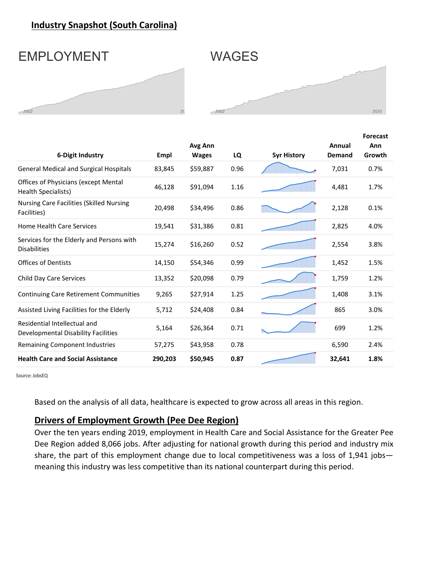# **Industry Snapshot (South Carolina)**

# EMPLOYMENT WAGES

 $-2002$ 



| 6-Digit Industry                                                    | Empl    | Avg Ann<br><b>Wages</b> | LQ   | <b>5yr History</b> | Annual<br>Demand | <b>Forecast</b><br>Ann<br>Growth |
|---------------------------------------------------------------------|---------|-------------------------|------|--------------------|------------------|----------------------------------|
| <b>General Medical and Surgical Hospitals</b>                       | 83,845  | \$59,887                | 0.96 |                    | 7,031            | 0.7%                             |
| Offices of Physicians (except Mental<br>Health Specialists)         | 46,128  | \$91,094                | 1.16 |                    | 4,481            | 1.7%                             |
| <b>Nursing Care Facilities (Skilled Nursing</b><br>Facilities)      | 20,498  | \$34,496                | 0.86 |                    | 2,128            | 0.1%                             |
| <b>Home Health Care Services</b>                                    | 19,541  | \$31,386                | 0.81 |                    | 2,825            | 4.0%                             |
| Services for the Elderly and Persons with<br><b>Disabilities</b>    | 15,274  | \$16,260                | 0.52 |                    | 2,554            | 3.8%                             |
| <b>Offices of Dentists</b>                                          | 14,150  | \$54,346                | 0.99 |                    | 1,452            | 1.5%                             |
| Child Day Care Services                                             | 13,352  | \$20,098                | 0.79 |                    | 1,759            | 1.2%                             |
| Continuing Care Retirement Communities                              | 9,265   | \$27,914                | 1.25 |                    | 1,408            | 3.1%                             |
| Assisted Living Facilities for the Elderly                          | 5,712   | \$24,408                | 0.84 |                    | 865              | 3.0%                             |
| Residential Intellectual and<br>Developmental Disability Facilities | 5,164   | \$26,364                | 0.71 |                    | 699              | 1.2%                             |
| <b>Remaining Component Industries</b>                               | 57,275  | \$43,958                | 0.78 |                    | 6,590            | 2.4%                             |
| <b>Health Care and Social Assistance</b>                            | 290,203 | \$50,945                | 0.87 |                    | 32,641           | 1.8%                             |

 **Source: JobsEQ**

Based on the analysis of all data, healthcare is expected to grow across all areas in this region.

### **Drivers of Employment Growth (Pee Dee Region)**

Over the ten years ending 2019, employment in Health Care and Social Assistance for the Greater Pee Dee Region added 8,066 jobs. After adjusting for national growth during this period and industry mix share, the part of this employment change due to local competitiveness was a loss of 1,941 jobs meaning this industry was less competitive than its national counterpart during this period.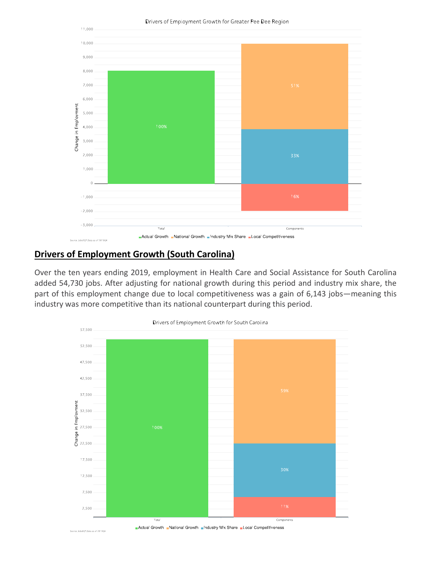

# **Drivers of Employment Growth (South Carolina)**

: JobsEQ®,Data as of 2019Q4

Over the ten years ending 2019, employment in Health Care and Social Assistance for South Carolina added 54,730 jobs. After adjusting for national growth during this period and industry mix share, the part of this employment change due to local competitiveness was a gain of 6,143 jobs—meaning this industry was more competitive than its national counterpart during this period.



Actual Growth National Growth Industry Mix Share I Local Competitiveness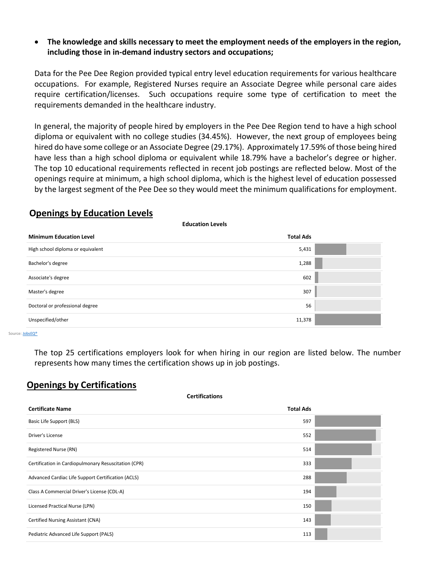### • **The knowledge and skills necessary to meet the employment needs of the employers in the region, including those in in-demand industry sectors and occupations;**

Data for the Pee Dee Region provided typical entry level education requirements for various healthcare occupations. For example, Registered Nurses require an Associate Degree while personal care aides require certification/licenses. Such occupations require some type of certification to meet the requirements demanded in the healthcare industry.

In general, the majority of people hired by employers in the Pee Dee Region tend to have a high school diploma or equivalent with no college studies (34.45%). However, the next group of employees being hired do have some college or an Associate Degree (29.17%). Approximately 17.59% of those being hired have less than a high school diploma or equivalent while 18.79% have a bachelor's degree or higher. The top 10 educational requirements reflected in recent job postings are reflected below. Most of the openings require at minimum, a high school diploma, which is the highest level of education possessed by the largest segment of the Pee Dee so they would meet the minimum qualifications for employment.

# **Openings by Education Levels**

**Education Levels**

| <b>Minimum Education Level</b>    | <b>Total Ads</b> |
|-----------------------------------|------------------|
| High school diploma or equivalent | 5,431            |
| Bachelor's degree                 | 1,288            |
| Associate's degree                | 602              |
| Master's degree                   | 307              |
| Doctoral or professional degree   | 56               |
| Unspecified/other                 | 11,378           |

Source[: JobsEQ®](http://www.chmuraecon.com/jobseq)

The top 25 certifications employers look for when hiring in our region are listed below. The number represents how many times the certification shows up in job postings.

# **Openings by Certifications**

| <b>Certifications</b>                                |                  |  |  |  |  |  |  |  |
|------------------------------------------------------|------------------|--|--|--|--|--|--|--|
| <b>Certificate Name</b>                              | <b>Total Ads</b> |  |  |  |  |  |  |  |
| Basic Life Support (BLS)                             | 597              |  |  |  |  |  |  |  |
| Driver's License                                     | 552              |  |  |  |  |  |  |  |
| Registered Nurse (RN)                                | 514              |  |  |  |  |  |  |  |
| Certification in Cardiopulmonary Resuscitation (CPR) | 333              |  |  |  |  |  |  |  |
| Advanced Cardiac Life Support Certification (ACLS)   | 288              |  |  |  |  |  |  |  |
| Class A Commercial Driver's License (CDL-A)          | 194              |  |  |  |  |  |  |  |
| Licensed Practical Nurse (LPN)                       | 150              |  |  |  |  |  |  |  |
| Certified Nursing Assistant (CNA)                    | 143              |  |  |  |  |  |  |  |
| Pediatric Advanced Life Support (PALS)               | 113              |  |  |  |  |  |  |  |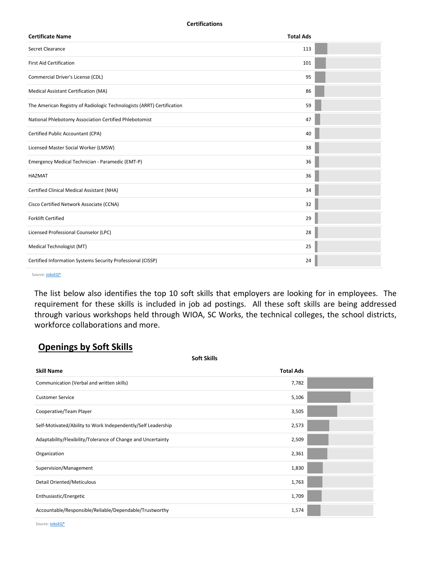**Certifications**

| <b>Certificate Name</b>                                                | <b>Total Ads</b> |  |
|------------------------------------------------------------------------|------------------|--|
| Secret Clearance                                                       | 113              |  |
| <b>First Aid Certification</b>                                         | 101              |  |
| Commercial Driver's License (CDL)                                      | 95               |  |
| Medical Assistant Certification (MA)                                   | 86               |  |
| The American Registry of Radiologic Technologists (ARRT) Certification | 59               |  |
| National Phlebotomy Association Certified Phlebotomist                 | 47               |  |
| Certified Public Accountant (CPA)                                      | 40               |  |
| Licensed Master Social Worker (LMSW)                                   | 38               |  |
| Emergency Medical Technician - Paramedic (EMT-P)                       | 36               |  |
| <b>HAZMAT</b>                                                          | 36               |  |
| Certified Clinical Medical Assistant (NHA)                             | 34               |  |
| Cisco Certified Network Associate (CCNA)                               | 32               |  |
| <b>Forklift Certified</b>                                              | 29               |  |
| Licensed Professional Counselor (LPC)                                  | 28               |  |
| Medical Technologist (MT)                                              | 25               |  |
| Certified Information Systems Security Professional (CISSP)            | 24               |  |

Source[: JobsEQ®](http://www.chmuraecon.com/jobseq)

The list below also identifies the top 10 soft skills that employers are looking for in employees. The requirement for these skills is included in job ad postings. All these soft skills are being addressed through various workshops held through WIOA, SC Works, the technical colleges, the school districts, workforce collaborations and more.

# **Openings by Soft Skills**

| Soft Skills                                                  |                  |  |
|--------------------------------------------------------------|------------------|--|
| <b>Skill Name</b>                                            | <b>Total Ads</b> |  |
| Communication (Verbal and written skills)                    | 7,782            |  |
| <b>Customer Service</b>                                      | 5,106            |  |
| Cooperative/Team Player                                      | 3,505            |  |
| Self-Motivated/Ability to Work Independently/Self Leadership | 2,573            |  |
| Adaptability/Flexibility/Tolerance of Change and Uncertainty | 2,509            |  |
| Organization                                                 | 2,361            |  |
| Supervision/Management                                       | 1,830            |  |
| Detail Oriented/Meticulous                                   | 1,763            |  |
| Enthusiastic/Energetic                                       | 1,709            |  |
| Accountable/Responsible/Reliable/Dependable/Trustworthy      | 1,574            |  |

Source: **JobsEQ®**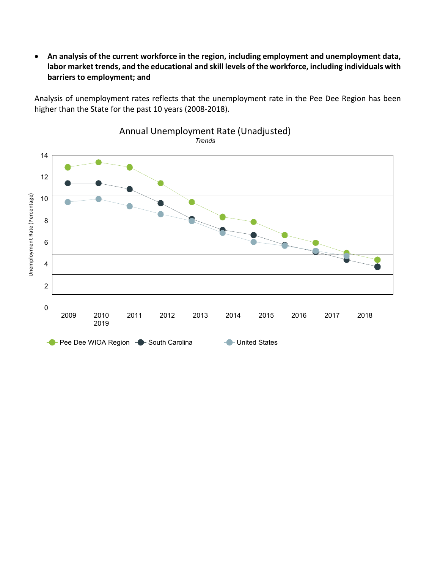• **An analysis of the current workforce in the region, including employment and unemployment data, labor market trends, and the educational and skill levels of the workforce, including individuals with barriers to employment; and**

Analysis of unemployment rates reflects that the unemployment rate in the Pee Dee Region has been higher than the State for the past 10 years (2008-2018).

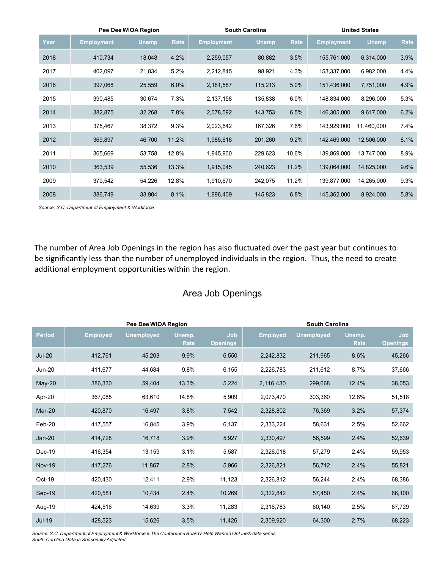|      | Pee Dee WIOA Region |        |       |                   | <b>South Carolina</b> | <b>United States</b> |                   |              |      |
|------|---------------------|--------|-------|-------------------|-----------------------|----------------------|-------------------|--------------|------|
| Year | <b>Employment</b>   | Unemp  | Rate  | <b>Employment</b> | <b>Unemp</b>          | Rate                 | <b>Employment</b> | <b>Unemp</b> | Rate |
| 2018 | 410,734             | 18,048 | 4.2%  | 2,259,057         | 80,882                | 3.5%                 | 155,761,000       | 6,314,000    | 3.9% |
| 2017 | 402,097             | 21,834 | 5.2%  | 2,212,845         | 98,921                | 4.3%                 | 153,337,000       | 6,982,000    | 4.4% |
| 2016 | 397,068             | 25,559 | 6.0%  | 2,181,587         | 115,213               | 5.0%                 | 151,436,000       | 7,751,000    | 4.9% |
| 2015 | 390,485             | 30,674 | 7.3%  | 2,137,158         | 135,838               | 6.0%                 | 148,834,000       | 8,296,000    | 5.3% |
| 2014 | 382,875             | 32,268 | 7.8%  | 2,078,592         | 143,753               | 6.5%                 | 146,305,000       | 9,617,000    | 6.2% |
| 2013 | 375,467             | 38,372 | 9.3%  | 2,023,642         | 167,326               | 7.6%                 | 143,929,000       | 11,460,000   | 7.4% |
| 2012 | 369,897             | 46,700 | 11.2% | 1,985,618         | 201,260               | 9.2%                 | 142,469,000       | 12,506,000   | 8.1% |
| 2011 | 365,669             | 53,758 | 12.8% | 1,945,900         | 229,623               | 10.6%                | 139,869,000       | 13,747,000   | 8.9% |
| 2010 | 363,539             | 55,536 | 13.3% | 1,915,045         | 240,623               | 11.2%                | 139,064,000       | 14,825,000   | 9.6% |
| 2009 | 370,542             | 54,226 | 12.8% | 1,910,670         | 242,075               | 11.2%                | 139,877,000       | 14,265,000   | 9.3% |
| 2008 | 386,749             | 33,904 | 8.1%  | 1,996,409         | 145,823               | 6.8%                 | 145,362,000       | 8,924,000    | 5.8% |

*Source: S.C. Department of Employment & Workforce*

The number of Area Job Openings in the region has also fluctuated over the past year but continues to be significantly less than the number of unemployed individuals in the region. Thus, the need to create additional employment opportunities within the region.

# Area Job Openings

|               |                 | Pee Dee WIOA Region | <b>South Carolina</b> |                        |                 |                   |                       |                        |
|---------------|-----------------|---------------------|-----------------------|------------------------|-----------------|-------------------|-----------------------|------------------------|
| <b>Period</b> | <b>Employed</b> | <b>Unemployed</b>   | Unemp.<br><b>Rate</b> | Job<br><b>Openings</b> | <b>Employed</b> | <b>Unemployed</b> | Unemp.<br><b>Rate</b> | Job<br><b>Openings</b> |
| <b>Jul-20</b> | 412,761         | 45,203              | 9.9%                  | 6,550                  | 2,242,832       | 211,965           | 8.6%                  | 45,266                 |
| <b>Jun-20</b> | 411,677         | 44,684              | 9.8%                  | 6,155                  | 2,226,783       | 211,612           | 8.7%                  | 37,666                 |
| May-20        | 386,330         | 59,404              | 13.3%                 | 5,224                  | 2,116,430       | 299,668           | 12.4%                 | 38,053                 |
| Apr-20        | 367,085         | 63,610              | 14.8%                 | 5,909                  | 2,073,470       | 303,360           | 12.8%                 | 51,518                 |
| Mar-20        | 420,870         | 16,497              | 3.8%                  | 7,542                  | 2,328,802       | 76,369            | 3.2%                  | 57,374                 |
| Feb-20        | 417,557         | 16,845              | 3.9%                  | 6,137                  | 2,333,224       | 58,631            | 2.5%                  | 52,662                 |
| <b>Jan-20</b> | 414,728         | 16,718              | 3.9%                  | 5,927                  | 2,330,497       | 56,599            | 2.4%                  | 52,639                 |
| $Dec-19$      | 416,354         | 13,159              | 3.1%                  | 5,587                  | 2,326,018       | 57,279            | 2.4%                  | 59,953                 |
| <b>Nov-19</b> | 417,276         | 11,867              | 2.8%                  | 5,966                  | 2,326,821       | 56,712            | 2.4%                  | 55,821                 |
| Oct-19        | 420,430         | 12,411              | 2.9%                  | 11,123                 | 2,326,812       | 56,244            | 2.4%                  | 68,386                 |
| Sep-19        | 420,581         | 10,434              | 2.4%                  | 10,269                 | 2,322,842       | 57,450            | 2.4%                  | 66,100                 |
| Aug-19        | 424,516         | 14,639              | 3.3%                  | 11,283                 | 2,316,783       | 60,140            | 2.5%                  | 67,729                 |
| <b>Jul-19</b> | 428,523         | 15,626              | 3.5%                  | 11,426                 | 2,309,920       | 64,300            | 2.7%                  | 68,223                 |

*Source: S.C. Department of Employment & Workforce & The Conference Board's Help Wanted OnLine® data series South Carolina Data is Seasonally Adjusted*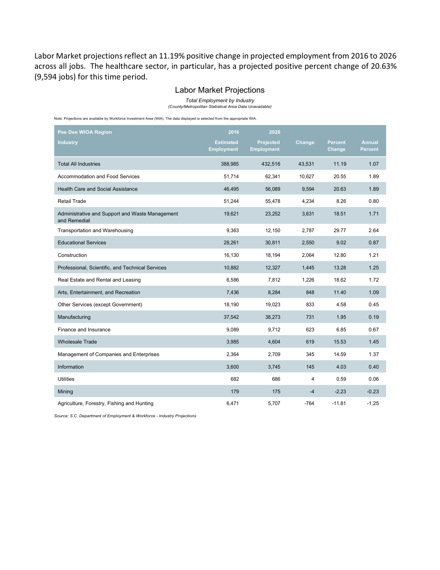Labor Market projections reflect an 11.19% positive change in projected employment from 2016 to 2026 across all jobs. The healthcare sector, in particular, has a projected positive percent change of 20.63% (9,594 jobs) for this time period.

#### Labor Market Projections

*Total Employment by Industry*

*(County/Metropolitan Statistical Area Data Unavailable)*

Note: Projections are available by Workforce Investment Area (WIA). The data displayed is selected from the appropriate WIA.

| Pee Dee WIOA Region                                             | 2016                                  | 2026                                  |        |                          |                                 |
|-----------------------------------------------------------------|---------------------------------------|---------------------------------------|--------|--------------------------|---------------------------------|
| <b>Industry</b>                                                 | <b>Estimated</b><br><b>Employment</b> | <b>Projected</b><br><b>Employment</b> | Change | <b>Percent</b><br>Change | <b>Annual</b><br><b>Percent</b> |
| <b>Total All Industries</b>                                     | 388,985                               | 432,516                               | 43,531 | 11.19                    | 1.07                            |
| <b>Accommodation and Food Services</b>                          | 51,714                                | 62,341                                | 10,627 | 20.55                    | 1.89                            |
| <b>Health Care and Social Assistance</b>                        | 46,495                                | 56,089                                | 9,594  | 20.63                    | 1.89                            |
| <b>Retail Trade</b>                                             | 51,244                                | 55,478                                | 4,234  | 8.26                     | 0.80                            |
| Administrative and Support and Waste Management<br>and Remediat | 19,621                                | 23,252                                | 3,631  | 18.51                    | 1.71                            |
| Transportation and Warehousing                                  | 9,363                                 | 12,150                                | 2,787  | 29.77                    | 2.64                            |
| <b>Educational Services</b>                                     | 28,261                                | 30,811                                | 2,550  | 9.02                     | 0.87                            |
| Construction                                                    | 16,130                                | 18,194                                | 2,064  | 12.80                    | 1.21                            |
| Professional, Scientific, and Technical Services                | 10,882                                | 12,327                                | 1,445  | 13.28                    | 1.25                            |
| Real Estate and Rental and Leasing                              | 6,586                                 | 7,812                                 | 1,226  | 18.62                    | 1.72                            |
| Arts, Entertainment, and Recreation                             | 7,436                                 | 8,284                                 | 848    | 11.40                    | 1.09                            |
| Other Services (except Government)                              | 18,190                                | 19,023                                | 833    | 4.58                     | 0.45                            |
| Manufacturing                                                   | 37,542                                | 38,273                                | 731    | 1.95                     | 0.19                            |
| Finance and Insurance                                           | 9.089                                 | 9.712                                 | 623    | 6.85                     | 0.67                            |
| <b>Wholesale Trade</b>                                          | 3,985                                 | 4,604                                 | 619    | 15.53                    | 1.45                            |
| Management of Companies and Enterprises                         | 2,364                                 | 2,709                                 | 345    | 14.59                    | 1.37                            |
| Information                                                     | 3,600                                 | 3,745                                 | 145    | 4.03                     | 0.40                            |
| <b>Utilities</b>                                                | 682                                   | 686                                   | 4      | 0.59                     | 0.06                            |
| Mining                                                          | 179                                   | 175                                   | $-4$   | $-2.23$                  | $-0.23$                         |
| Agriculture, Forestry, Fishing and Hunting                      | 6.471                                 | 5,707                                 | $-764$ | $-11.81$                 | $-1.25$                         |

*Source: S.C. Department of Employment & Workforce - Industry Projections*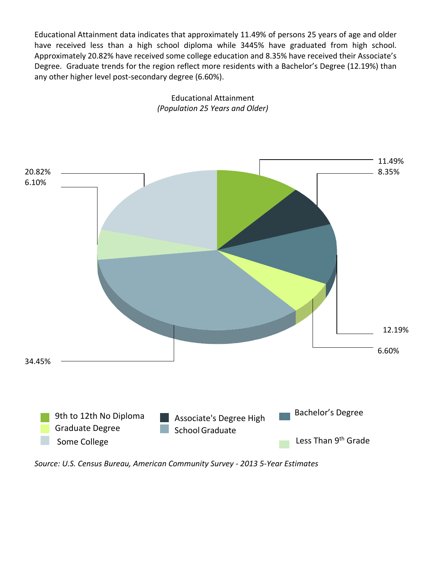Educational Attainment data indicates that approximately 11.49% of persons 25 years of age and older have received less than a high school diploma while 3445% have graduated from high school. Approximately 20.82% have received some college education and 8.35% have received their Associate's Degree. Graduate trends for the region reflect more residents with a Bachelor's Degree (12.19%) than any other higher level post-secondary degree (6.60%).



Educational Attainment *(Population 25 Years and Older)*

*Source: U.S. Census Bureau, American Community Survey - 2013 5-Year Estimates*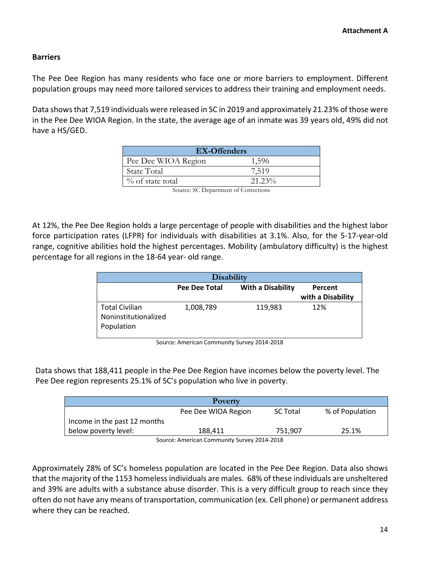#### **Barriers**

The Pee Dee Region has many residents who face one or more barriers to employment. Different population groups may need more tailored services to address their training and employment needs.

Data shows that 7,519 individuals were released in SC in 2019 and approximately 21.23% of those were in the Pee Dee WIOA Region. In the state, the average age of an inmate was 39 years old, 49% did not have a HS/GED.

| <b>EX-Offenders</b>                                                                                                                               |           |  |
|---------------------------------------------------------------------------------------------------------------------------------------------------|-----------|--|
| Pee Dee WIOA Region                                                                                                                               | 1,596     |  |
| State Total                                                                                                                                       | 7.519     |  |
| $\%$ of state total                                                                                                                               | $21.23\%$ |  |
| $\mathcal{C}$ and $\mathcal{C}$ $\mathcal{C}$ $\mathcal{D}$ and $\mathcal{C}$ and $\mathcal{C}$ $\mathcal{C}$ and $\mathcal{C}$ and $\mathcal{C}$ |           |  |

Source: SC Department of Corrections

At 12%, the Pee Dee Region holds a large percentage of people with disabilities and the highest labor force participation rates (LFPR) for individuals with disabilities at 3.1%. Also, for the 5-17-year-old range, cognitive abilities hold the highest percentages. Mobility (ambulatory difficulty) is the highest percentage for all regions in the 18-64 year- old range.

| <b>Disability</b>     |               |                          |                   |  |  |  |  |  |
|-----------------------|---------------|--------------------------|-------------------|--|--|--|--|--|
|                       | Pee Dee Total | <b>With a Disability</b> | Percent           |  |  |  |  |  |
|                       |               |                          | with a Disability |  |  |  |  |  |
| <b>Total Civilian</b> | 1,008,789     | 119,983                  | 12%               |  |  |  |  |  |
| Noninstitutionalized  |               |                          |                   |  |  |  |  |  |
| Population            |               |                          |                   |  |  |  |  |  |
|                       |               |                          |                   |  |  |  |  |  |

Source: American Community Survey 2014-2018

Data shows that 188,411 people in the Pee Dee Region have incomes below the poverty level. The Pee Dee region represents 25.1% of SC's population who live in poverty.

| Poverty                      |                     |                 |                 |  |
|------------------------------|---------------------|-----------------|-----------------|--|
|                              |                     |                 |                 |  |
|                              | Pee Dee WIOA Region | <b>SC Total</b> | % of Population |  |
|                              |                     |                 |                 |  |
| Income in the past 12 months |                     |                 |                 |  |
| below poverty level:         | 188.411             | 751.907         | 25.1%           |  |
|                              |                     |                 |                 |  |
| .                            |                     |                 |                 |  |

Source: American Community Survey 2014-2018

Approximately 28% of SC's homeless population are located in the Pee Dee Region. Data also shows that the majority of the 1153 homeless individuals are males. 68% of these individuals are unsheltered and 39% are adults with a substance abuse disorder. This is a very difficult group to reach since they often do not have any means of transportation, communication (ex. Cell phone) or permanent address where they can be reached.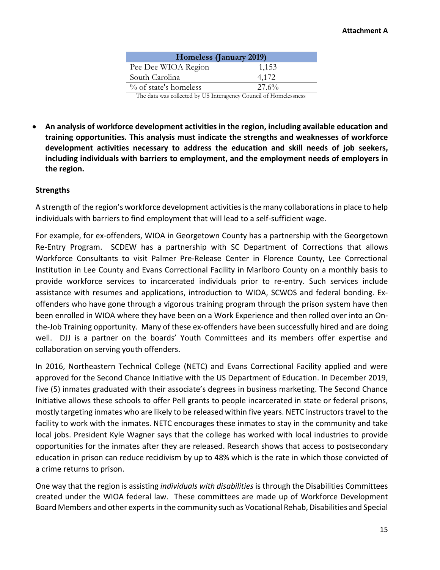| Homeless (January 2019)  |       |  |  |  |
|--------------------------|-------|--|--|--|
| Pee Dee WIOA Region      | 1,153 |  |  |  |
| South Carolina           | 4.172 |  |  |  |
| $\%$ of state's homeless | 27.6% |  |  |  |

The data was collected by US Interagency Council of Homelessness

• **An analysis of workforce development activities in the region, including available education and training opportunities. This analysis must indicate the strengths and weaknesses of workforce development activities necessary to address the education and skill needs of job seekers, including individuals with barriers to employment, and the employment needs of employers in the region.**

#### **Strengths**

A strength of the region's workforce development activities is the many collaborationsin place to help individuals with barriers to find employment that will lead to a self-sufficient wage.

For example, for ex-offenders, WIOA in Georgetown County has a partnership with the Georgetown Re-Entry Program. SCDEW has a partnership with SC Department of Corrections that allows Workforce Consultants to visit Palmer Pre-Release Center in Florence County, Lee Correctional Institution in Lee County and Evans Correctional Facility in Marlboro County on a monthly basis to provide workforce services to incarcerated individuals prior to re-entry. Such services include assistance with resumes and applications, introduction to WIOA, SCWOS and federal bonding. Exoffenders who have gone through a vigorous training program through the prison system have then been enrolled in WIOA where they have been on a Work Experience and then rolled over into an Onthe-Job Training opportunity. Many of these ex-offenders have been successfully hired and are doing well. DJJ is a partner on the boards' Youth Committees and its members offer expertise and collaboration on serving youth offenders.

In 2016, Northeastern Technical College (NETC) and Evans Correctional Facility applied and were approved for the Second Chance Initiative with the US Department of Education. In December 2019, five (5) inmates graduated with their associate's degrees in business marketing. The Second Chance Initiative allows these schools to offer Pell grants to people incarcerated in state or federal prisons, mostly targeting inmates who are likely to be released within five years. NETC instructors travel to the facility to work with the inmates. NETC encourages these inmates to stay in the community and take local jobs. President Kyle Wagner says that the college has worked with local industries to provide opportunities for the inmates after they are released. Research shows that access to postsecondary education in prison can reduce recidivism by up to 48% which is the rate in which those convicted of a crime returns to prison.

One way that the region is assisting *individuals with disabilities* is through the Disabilities Committees created under the WIOA federal law. These committees are made up of Workforce Development Board Members and other experts in the community such as Vocational Rehab, Disabilities and Special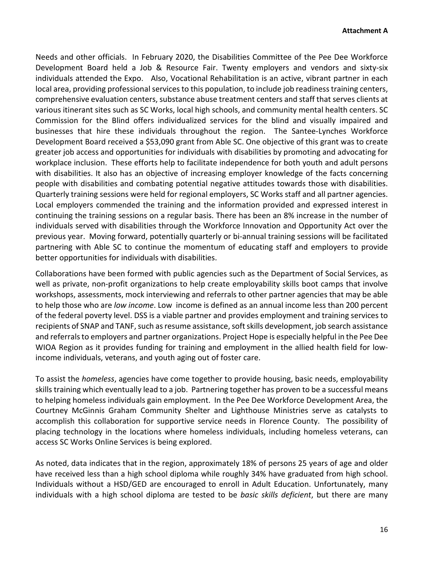Needs and other officials. In February 2020, the Disabilities Committee of the Pee Dee Workforce Development Board held a Job & Resource Fair. Twenty employers and vendors and sixty-six individuals attended the Expo. Also, Vocational Rehabilitation is an active, vibrant partner in each local area, providing professional services to this population, to include job readiness training centers, comprehensive evaluation centers, substance abuse treatment centers and staff that serves clients at various itinerant sites such as SC Works, local high schools, and community mental health centers. SC Commission for the Blind offers individualized services for the blind and visually impaired and businesses that hire these individuals throughout the region. The Santee-Lynches Workforce Development Board received a \$53,090 grant from Able SC. One objective of this grant was to create greater job access and opportunities for individuals with disabilities by promoting and advocating for workplace inclusion. These efforts help to facilitate independence for both youth and adult persons with disabilities. It also has an objective of increasing employer knowledge of the facts concerning people with disabilities and combating potential negative attitudes towards those with disabilities. Quarterly training sessions were held for regional employers, SC Works staff and all partner agencies. Local employers commended the training and the information provided and expressed interest in continuing the training sessions on a regular basis. There has been an 8% increase in the number of individuals served with disabilities through the Workforce Innovation and Opportunity Act over the previous year. Moving forward, potentially quarterly or bi-annual training sessions will be facilitated partnering with Able SC to continue the momentum of educating staff and employers to provide better opportunities for individuals with disabilities.

Collaborations have been formed with public agencies such as the Department of Social Services, as well as private, non-profit organizations to help create employability skills boot camps that involve workshops, assessments, mock interviewing and referrals to other partner agencies that may be able to help those who are *low income*. Low income is defined as an annual income less than 200 percent of the federal poverty level. DSS is a viable partner and provides employment and training services to recipients of SNAP and TANF, such as resume assistance, soft skills development, job search assistance and referrals to employers and partner organizations. Project Hope is especially helpful in the Pee Dee WIOA Region as it provides funding for training and employment in the allied health field for lowincome individuals, veterans, and youth aging out of foster care.

To assist the *homeless*, agencies have come together to provide housing, basic needs, employability skills training which eventually lead to a job. Partnering together has proven to be a successful means to helping homeless individuals gain employment. In the Pee Dee Workforce Development Area, the Courtney McGinnis Graham Community Shelter and Lighthouse Ministries serve as catalysts to accomplish this collaboration for supportive service needs in Florence County. The possibility of placing technology in the locations where homeless individuals, including homeless veterans, can access SC Works Online Services is being explored.

As noted, data indicates that in the region, approximately 18% of persons 25 years of age and older have received less than a high school diploma while roughly 34% have graduated from high school. Individuals without a HSD/GED are encouraged to enroll in Adult Education. Unfortunately, many individuals with a high school diploma are tested to be *basic skills deficient*, but there are many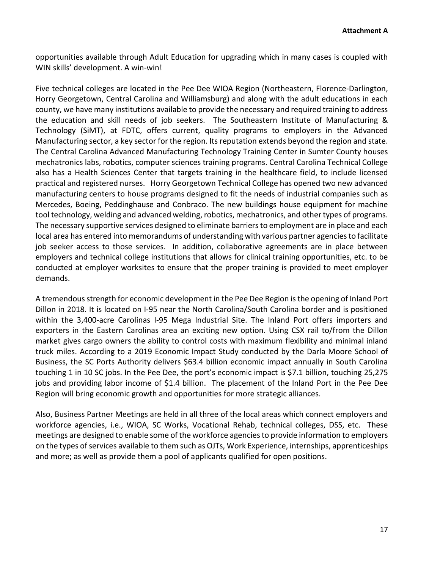opportunities available through Adult Education for upgrading which in many cases is coupled with WIN skills' development. A win-win!

Five technical colleges are located in the Pee Dee WIOA Region (Northeastern, Florence-Darlington, Horry Georgetown, Central Carolina and Williamsburg) and along with the adult educations in each county, we have many institutions available to provide the necessary and required training to address the education and skill needs of job seekers. The Southeastern Institute of Manufacturing & Technology (SiMT), at FDTC, offers current, quality programs to employers in the Advanced Manufacturing sector, a key sector for the region. Its reputation extends beyond the region and state. The Central Carolina Advanced Manufacturing Technology Training Center in Sumter County houses mechatronics labs, robotics, computer sciences training programs. Central Carolina Technical College also has a Health Sciences Center that targets training in the healthcare field, to include licensed practical and registered nurses. Horry Georgetown Technical College has opened two new advanced manufacturing centers to house programs designed to fit the needs of industrial companies such as Mercedes, Boeing, Peddinghause and Conbraco. The new buildings house equipment for machine tool technology, welding and advanced welding, robotics, mechatronics, and other types of programs. The necessary supportive services designed to eliminate barriers to employment are in place and each local area has entered into memorandums of understanding with various partner agencies to facilitate job seeker access to those services. In addition, collaborative agreements are in place between employers and technical college institutions that allows for clinical training opportunities, etc. to be conducted at employer worksites to ensure that the proper training is provided to meet employer demands.

A tremendous strength for economic development in the Pee Dee Region is the opening of Inland Port Dillon in 2018. It is located on I-95 near the North Carolina/South Carolina border and is positioned within the 3,400-acre Carolinas I-95 Mega Industrial Site. The Inland Port offers importers and exporters in the Eastern Carolinas area an exciting new option. Using CSX rail to/from the Dillon market gives cargo owners the ability to control costs with maximum flexibility and minimal inland truck miles. According to a 2019 Economic Impact Study conducted by the Darla Moore School of Business, the SC Ports Authority delivers \$63.4 billion economic impact annually in South Carolina touching 1 in 10 SC jobs. In the Pee Dee, the port's economic impact is \$7.1 billion, touching 25,275 jobs and providing labor income of \$1.4 billion. The placement of the Inland Port in the Pee Dee Region will bring economic growth and opportunities for more strategic alliances.

Also, Business Partner Meetings are held in all three of the local areas which connect employers and workforce agencies, i.e., WIOA, SC Works, Vocational Rehab, technical colleges, DSS, etc. These meetings are designed to enable some of the workforce agencies to provide information to employers on the types of services available to them such as OJTs, Work Experience, internships, apprenticeships and more; as well as provide them a pool of applicants qualified for open positions.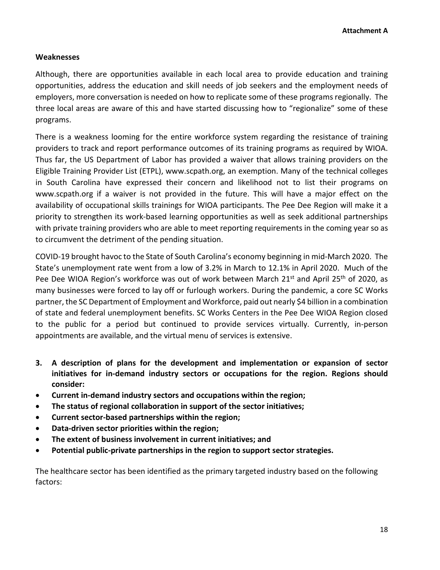#### **Weaknesses**

Although, there are opportunities available in each local area to provide education and training opportunities, address the education and skill needs of job seekers and the employment needs of employers, more conversation is needed on how to replicate some of these programs regionally. The three local areas are aware of this and have started discussing how to "regionalize" some of these programs.

There is a weakness looming for the entire workforce system regarding the resistance of training providers to track and report performance outcomes of its training programs as required by WIOA. Thus far, the US Department of Labor has provided a waiver that allows training providers on the Eligible Training Provider List (ETPL), [www.scpath.org,](http://www.scpath.org/) an exemption. Many of the technical colleges in South Carolina have expressed their concern and likelihood not to list their programs on [www.scpath.org](http://www.scpath.org/) if a waiver is not provided in the future. This will have a major effect on the availability of occupational skills trainings for WIOA participants. The Pee Dee Region will make it a priority to strengthen its work-based learning opportunities as well as seek additional partnerships with private training providers who are able to meet reporting requirements in the coming year so as to circumvent the detriment of the pending situation.

COVID-19 brought havoc to the State of South Carolina's economy beginning in mid-March 2020. The State's unemployment rate went from a low of 3.2% in March to 12.1% in April 2020. Much of the Pee Dee WIOA Region's workforce was out of work between March  $21^{st}$  and April  $25^{th}$  of 2020, as many businesses were forced to lay off or furlough workers. During the pandemic, a core SC Works partner, the SC Department of Employment and Workforce, paid out nearly \$4 billion in a combination of state and federal unemployment benefits. SC Works Centers in the Pee Dee WIOA Region closed to the public for a period but continued to provide services virtually. Currently, in-person appointments are available, and the virtual menu of services is extensive.

- **3. A description of plans for the development and implementation or expansion of sector initiatives for in-demand industry sectors or occupations for the region. Regions should consider:**
- **Current in-demand industry sectors and occupations within the region;**
- **The status of regional collaboration in support of the sector initiatives;**
- **Current sector-based partnerships within the region;**
- **Data-driven sector priorities within the region;**
- **The extent of business involvement in current initiatives; and**
- **Potential public-private partnerships in the region to support sector strategies.**

The healthcare sector has been identified as the primary targeted industry based on the following factors: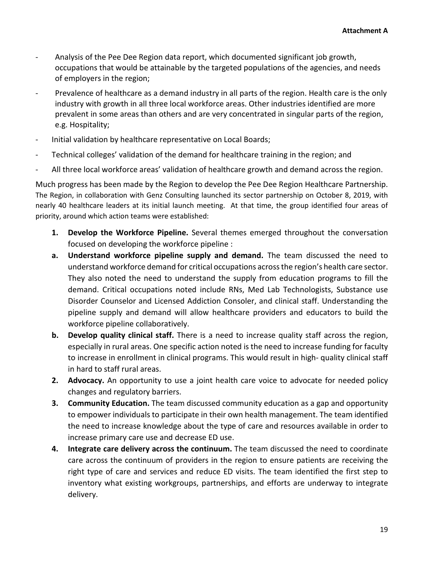- Analysis of the Pee Dee Region data report, which documented significant job growth, occupations that would be attainable by the targeted populations of the agencies, and needs of employers in the region;
- Prevalence of healthcare as a demand industry in all parts of the region. Health care is the only industry with growth in all three local workforce areas. Other industries identified are more prevalent in some areas than others and are very concentrated in singular parts of the region, e.g. Hospitality;
- Initial validation by healthcare representative on Local Boards;
- Technical colleges' validation of the demand for healthcare training in the region; and
- All three local workforce areas' validation of healthcare growth and demand across the region.

Much progress has been made by the Region to develop the Pee Dee Region Healthcare Partnership. The Region, in collaboration with Genz Consulting launched its sector partnership on October 8, 2019, with nearly 40 healthcare leaders at its initial launch meeting. At that time, the group identified four areas of priority, around which action teams were established:

- **1. Develop the Workforce Pipeline.** Several themes emerged throughout the conversation focused on developing the workforce pipeline :
- **a. Understand workforce pipeline supply and demand.** The team discussed the need to understand workforce demand for critical occupations across the region's health care sector. They also noted the need to understand the supply from education programs to fill the demand. Critical occupations noted include RNs, Med Lab Technologists, Substance use Disorder Counselor and Licensed Addiction Consoler, and clinical staff. Understanding the pipeline supply and demand will allow healthcare providers and educators to build the workforce pipeline collaboratively.
- **b. Develop quality clinical staff.** There is a need to increase quality staff across the region, especially in rural areas. One specific action noted is the need to increase funding for faculty to increase in enrollment in clinical programs. This would result in high- quality clinical staff in hard to staff rural areas.
- **2. Advocacy.** An opportunity to use a joint health care voice to advocate for needed policy changes and regulatory barriers.
- **3. Community Education.** The team discussed community education as a gap and opportunity to empower individuals to participate in their own health management. The team identified the need to increase knowledge about the type of care and resources available in order to increase primary care use and decrease ED use.
- **4. Integrate care delivery across the continuum.** The team discussed the need to coordinate care across the continuum of providers in the region to ensure patients are receiving the right type of care and services and reduce ED visits. The team identified the first step to inventory what existing workgroups, partnerships, and efforts are underway to integrate delivery.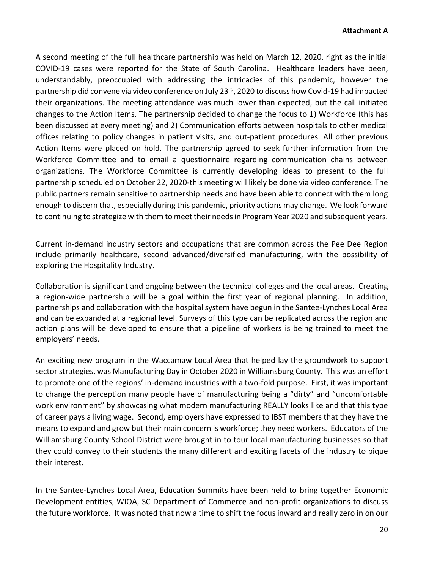A second meeting of the full healthcare partnership was held on March 12, 2020, right as the initial COVID-19 cases were reported for the State of South Carolina. Healthcare leaders have been, understandably, preoccupied with addressing the intricacies of this pandemic, however the partnership did convene via video conference on July 23<sup>rd</sup>, 2020 to discuss how Covid-19 had impacted their organizations. The meeting attendance was much lower than expected, but the call initiated changes to the Action Items. The partnership decided to change the focus to 1) Workforce (this has been discussed at every meeting) and 2) Communication efforts between hospitals to other medical offices relating to policy changes in patient visits, and out-patient procedures. All other previous Action Items were placed on hold. The partnership agreed to seek further information from the Workforce Committee and to email a questionnaire regarding communication chains between organizations. The Workforce Committee is currently developing ideas to present to the full partnership scheduled on October 22, 2020-this meeting will likely be done via video conference. The public partners remain sensitive to partnership needs and have been able to connect with them long enough to discern that, especially during this pandemic, priority actions may change. We look forward to continuing to strategize with them to meet their needs in Program Year 2020 and subsequent years.

Current in-demand industry sectors and occupations that are common across the Pee Dee Region include primarily healthcare, second advanced/diversified manufacturing, with the possibility of exploring the Hospitality Industry.

Collaboration is significant and ongoing between the technical colleges and the local areas. Creating a region-wide partnership will be a goal within the first year of regional planning. In addition, partnerships and collaboration with the hospital system have begun in the Santee-Lynches Local Area and can be expanded at a regional level. Surveys of this type can be replicated across the region and action plans will be developed to ensure that a pipeline of workers is being trained to meet the employers' needs.

An exciting new program in the Waccamaw Local Area that helped lay the groundwork to support sector strategies, was Manufacturing Day in October 2020 in Williamsburg County. This was an effort to promote one of the regions' in-demand industries with a two-fold purpose. First, it was important to change the perception many people have of manufacturing being a "dirty" and "uncomfortable work environment" by showcasing what modern manufacturing REALLY looks like and that this type of career pays a living wage. Second, employers have expressed to IBST members that they have the means to expand and grow but their main concern is workforce; they need workers. Educators of the Williamsburg County School District were brought in to tour local manufacturing businesses so that they could convey to their students the many different and exciting facets of the industry to pique their interest.

In the Santee-Lynches Local Area, Education Summits have been held to bring together Economic Development entities, WIOA, SC Department of Commerce and non-profit organizations to discuss the future workforce. It was noted that now a time to shift the focus inward and really zero in on our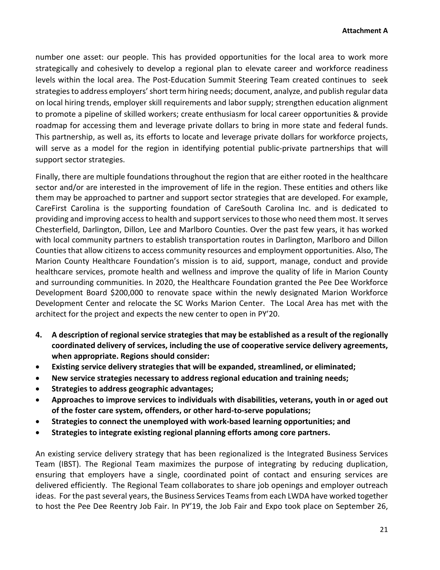number one asset: our people. This has provided opportunities for the local area to work more strategically and cohesively to develop a regional plan to elevate career and workforce readiness levels within the local area. The Post-Education Summit Steering Team created continues to seek strategies to address employers' short term hiring needs; document, analyze, and publish regular data on local hiring trends, employer skill requirements and labor supply; strengthen education alignment to promote a pipeline of skilled workers; create enthusiasm for local career opportunities & provide roadmap for accessing them and leverage private dollars to bring in more state and federal funds. This partnership, as well as, its efforts to locate and leverage private dollars for workforce projects, will serve as a model for the region in identifying potential public-private partnerships that will support sector strategies.

Finally, there are multiple foundations throughout the region that are either rooted in the healthcare sector and/or are interested in the improvement of life in the region. These entities and others like them may be approached to partner and support sector strategies that are developed. For example, CareFirst Carolina is the supporting foundation of CareSouth Carolina Inc. and is dedicated to providing and improving accessto health and support servicesto those who need them most. It serves Chesterfield, Darlington, Dillon, Lee and Marlboro Counties. Over the past few years, it has worked with local community partners to establish transportation routes in Darlington, Marlboro and Dillon Counties that allow citizens to access community resources and employment opportunities. Also, The Marion County Healthcare Foundation's mission is to aid, support, manage, conduct and provide healthcare services, promote health and wellness and improve the quality of life in Marion County and surrounding communities. In 2020, the Healthcare Foundation granted the Pee Dee Workforce Development Board \$200,000 to renovate space within the newly designated Marion Workforce Development Center and relocate the SC Works Marion Center. The Local Area has met with the architect for the project and expects the new center to open in PY'20.

- **4. A description of regional service strategies that may be established as a result of the regionally coordinated delivery of services, including the use of cooperative service delivery agreements, when appropriate. Regions should consider:**
- **Existing service delivery strategies that will be expanded, streamlined, or eliminated;**
- **New service strategies necessary to address regional education and training needs;**
- **Strategies to address geographic advantages;**
- **Approaches to improve services to individuals with disabilities, veterans, youth in or aged out of the foster care system, offenders, or other hard-to-serve populations;**
- **Strategies to connect the unemployed with work-based learning opportunities; and**
- **Strategies to integrate existing regional planning efforts among core partners.**

An existing service delivery strategy that has been regionalized is the Integrated Business Services Team (IBST). The Regional Team maximizes the purpose of integrating by reducing duplication, ensuring that employers have a single, coordinated point of contact and ensuring services are delivered efficiently. The Regional Team collaborates to share job openings and employer outreach ideas. For the past several years, the Business Services Teams from each LWDA have worked together to host the Pee Dee Reentry Job Fair. In PY'19, the Job Fair and Expo took place on September 26,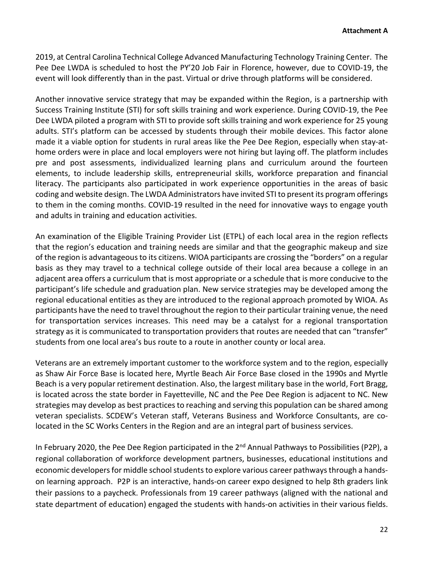2019, at Central Carolina Technical College Advanced Manufacturing Technology Training Center. The Pee Dee LWDA is scheduled to host the PY'20 Job Fair in Florence, however, due to COVID-19, the event will look differently than in the past. Virtual or drive through platforms will be considered.

Another innovative service strategy that may be expanded within the Region, is a partnership with Success Training Institute (STI) for soft skills training and work experience. During COVID-19, the Pee Dee LWDA piloted a program with STI to provide soft skills training and work experience for 25 young adults. STI's platform can be accessed by students through their mobile devices. This factor alone made it a viable option for students in rural areas like the Pee Dee Region, especially when stay-athome orders were in place and local employers were not hiring but laying off. The platform includes pre and post assessments, individualized learning plans and curriculum around the fourteen elements, to include leadership skills, entrepreneurial skills, workforce preparation and financial literacy. The participants also participated in work experience opportunities in the areas of basic coding and website design. The LWDA Administrators have invited STI to present its program offerings to them in the coming months. COVID-19 resulted in the need for innovative ways to engage youth and adults in training and education activities.

An examination of the Eligible Training Provider List (ETPL) of each local area in the region reflects that the region's education and training needs are similar and that the geographic makeup and size of the region is advantageous to its citizens. WIOA participants are crossing the "borders" on a regular basis as they may travel to a technical college outside of their local area because a college in an adjacent area offers a curriculum that is most appropriate or a schedule that is more conducive to the participant's life schedule and graduation plan. New service strategies may be developed among the regional educational entities as they are introduced to the regional approach promoted by WIOA. As participants have the need to travel throughout the region to their particular training venue, the need for transportation services increases. This need may be a catalyst for a regional transportation strategy as it is communicated to transportation providers that routes are needed that can "transfer" students from one local area's bus route to a route in another county or local area.

Veterans are an extremely important customer to the workforce system and to the region, especially as Shaw Air Force Base is located here, Myrtle Beach Air Force Base closed in the 1990s and Myrtle Beach is a very popular retirement destination. Also, the largest military base in the world, Fort Bragg, is located across the state border in Fayetteville, NC and the Pee Dee Region is adjacent to NC. New strategies may develop as best practices to reaching and serving this population can be shared among veteran specialists. SCDEW's Veteran staff, Veterans Business and Workforce Consultants, are colocated in the SC Works Centers in the Region and are an integral part of business services.

In February 2020, the Pee Dee Region participated in the 2<sup>nd</sup> Annual Pathways to Possibilities (P2P), a regional collaboration of workforce development partners, businesses, educational institutions and economic developers for middle school students to explore various career pathways through a handson learning approach. P2P is an interactive, hands-on career expo designed to help 8th graders link their passions to a paycheck. Professionals from 19 career pathways (aligned with the national and state department of education) engaged the students with hands-on activities in their various fields.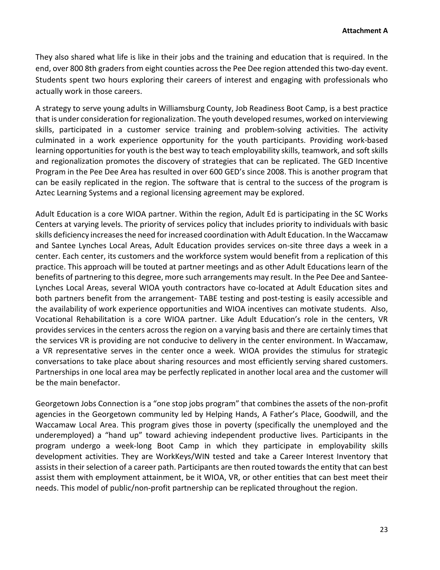They also shared what life is like in their jobs and the training and education that is required. In the end, over 800 8th graders from eight counties across the Pee Dee region attended this two-day event. Students spent two hours exploring their careers of interest and engaging with professionals who actually work in those careers.

A strategy to serve young adults in Williamsburg County, Job Readiness Boot Camp, is a best practice that is under consideration for regionalization. The youth developed resumes, worked on interviewing skills, participated in a customer service training and problem-solving activities. The activity culminated in a work experience opportunity for the youth participants. Providing work-based learning opportunities for youth is the best way to teach employability skills, teamwork, and soft skills and regionalization promotes the discovery of strategies that can be replicated. The GED Incentive Program in the Pee Dee Area has resulted in over 600 GED's since 2008. This is another program that can be easily replicated in the region. The software that is central to the success of the program is Aztec Learning Systems and a regional licensing agreement may be explored.

Adult Education is a core WIOA partner. Within the region, Adult Ed is participating in the SC Works Centers at varying levels. The priority of services policy that includes priority to individuals with basic skills deficiency increases the need for increased coordination with Adult Education. In the Waccamaw and Santee Lynches Local Areas, Adult Education provides services on-site three days a week in a center. Each center, its customers and the workforce system would benefit from a replication of this practice. This approach will be touted at partner meetings and as other Adult Educations learn of the benefits of partnering to this degree, more such arrangements may result. In the Pee Dee and Santee-Lynches Local Areas, several WIOA youth contractors have co-located at Adult Education sites and both partners benefit from the arrangement- TABE testing and post-testing is easily accessible and the availability of work experience opportunities and WIOA incentives can motivate students. Also, Vocational Rehabilitation is a core WIOA partner. Like Adult Education's role in the centers, VR provides services in the centers across the region on a varying basis and there are certainly times that the services VR is providing are not conducive to delivery in the center environment. In Waccamaw, a VR representative serves in the center once a week. WIOA provides the stimulus for strategic conversations to take place about sharing resources and most efficiently serving shared customers. Partnerships in one local area may be perfectly replicated in another local area and the customer will be the main benefactor.

Georgetown Jobs Connection is a "one stop jobs program" that combines the assets of the non-profit agencies in the Georgetown community led by Helping Hands, A Father's Place, Goodwill, and the Waccamaw Local Area. This program gives those in poverty (specifically the unemployed and the underemployed) a "hand up" toward achieving independent productive lives. Participants in the program undergo a week-long Boot Camp in which they participate in employability skills development activities. They are WorkKeys/WIN tested and take a Career Interest Inventory that assists in their selection of a career path. Participants are then routed towards the entity that can best assist them with employment attainment, be it WIOA, VR, or other entities that can best meet their needs. This model of public/non-profit partnership can be replicated throughout the region.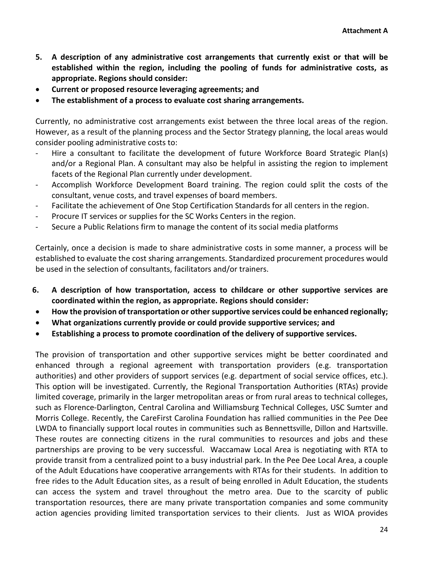- **5. A description of any administrative cost arrangements that currently exist or that will be established within the region, including the pooling of funds for administrative costs, as appropriate. Regions should consider:**
- **Current or proposed resource leveraging agreements; and**
- **The establishment of a process to evaluate cost sharing arrangements.**

Currently, no administrative cost arrangements exist between the three local areas of the region. However, as a result of the planning process and the Sector Strategy planning, the local areas would consider pooling administrative costs to:

- Hire a consultant to facilitate the development of future Workforce Board Strategic Plan(s) and/or a Regional Plan. A consultant may also be helpful in assisting the region to implement facets of the Regional Plan currently under development.
- Accomplish Workforce Development Board training. The region could split the costs of the consultant, venue costs, and travel expenses of board members.
- Facilitate the achievement of One Stop Certification Standards for all centers in the region.
- Procure IT services or supplies for the SC Works Centers in the region.
- Secure a Public Relations firm to manage the content of its social media platforms

Certainly, once a decision is made to share administrative costs in some manner, a process will be established to evaluate the cost sharing arrangements. Standardized procurement procedures would be used in the selection of consultants, facilitators and/or trainers.

- **6. A description of how transportation, access to childcare or other supportive services are coordinated within the region, as appropriate. Regions should consider:**
- **How the provision of transportation or other supportive services could be enhanced regionally;**
- **What organizations currently provide or could provide supportive services; and**
- **Establishing a process to promote coordination of the delivery of supportive services.**

The provision of transportation and other supportive services might be better coordinated and enhanced through a regional agreement with transportation providers (e.g. transportation authorities) and other providers of support services (e.g. department of social service offices, etc.). This option will be investigated. Currently, the Regional Transportation Authorities (RTAs) provide limited coverage, primarily in the larger metropolitan areas or from rural areas to technical colleges, such as Florence-Darlington, Central Carolina and Williamsburg Technical Colleges, USC Sumter and Morris College. Recently, the CareFirst Carolina Foundation has rallied communities in the Pee Dee LWDA to financially support local routes in communities such as Bennettsville, Dillon and Hartsville. These routes are connecting citizens in the rural communities to resources and jobs and these partnerships are proving to be very successful. Waccamaw Local Area is negotiating with RTA to provide transit from a centralized point to a busy industrial park. In the Pee Dee Local Area, a couple of the Adult Educations have cooperative arrangements with RTAs for their students. In addition to free rides to the Adult Education sites, as a result of being enrolled in Adult Education, the students can access the system and travel throughout the metro area. Due to the scarcity of public transportation resources, there are many private transportation companies and some community action agencies providing limited transportation services to their clients. Just as WIOA provides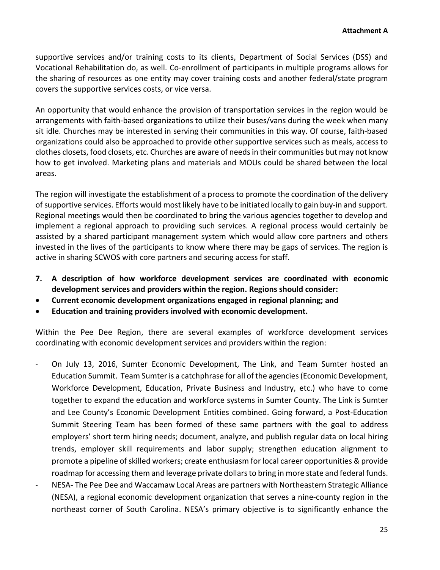supportive services and/or training costs to its clients, Department of Social Services (DSS) and Vocational Rehabilitation do, as well. Co-enrollment of participants in multiple programs allows for the sharing of resources as one entity may cover training costs and another federal/state program covers the supportive services costs, or vice versa.

An opportunity that would enhance the provision of transportation services in the region would be arrangements with faith-based organizations to utilize their buses/vans during the week when many sit idle. Churches may be interested in serving their communities in this way. Of course, faith-based organizations could also be approached to provide other supportive services such as meals, access to clothes closets, food closets, etc. Churches are aware of needs in their communities but may not know how to get involved. Marketing plans and materials and MOUs could be shared between the local areas.

The region will investigate the establishment of a process to promote the coordination of the delivery of supportive services. Efforts would most likely have to be initiated locally to gain buy-in and support. Regional meetings would then be coordinated to bring the various agencies together to develop and implement a regional approach to providing such services. A regional process would certainly be assisted by a shared participant management system which would allow core partners and others invested in the lives of the participants to know where there may be gaps of services. The region is active in sharing SCWOS with core partners and securing access for staff.

- **7. A description of how workforce development services are coordinated with economic development services and providers within the region. Regions should consider:**
- **Current economic development organizations engaged in regional planning; and**
- **Education and training providers involved with economic development.**

Within the Pee Dee Region, there are several examples of workforce development services coordinating with economic development services and providers within the region:

- On July 13, 2016, Sumter Economic Development, The Link, and Team Sumter hosted an Education Summit. Team Sumter is a catchphrase for all of the agencies (Economic Development, Workforce Development, Education, Private Business and Industry, etc.) who have to come together to expand the education and workforce systems in Sumter County. The Link is Sumter and Lee County's Economic Development Entities combined. Going forward, a Post-Education Summit Steering Team has been formed of these same partners with the goal to address employers' short term hiring needs; document, analyze, and publish regular data on local hiring trends, employer skill requirements and labor supply; strengthen education alignment to promote a pipeline of skilled workers; create enthusiasm for local career opportunities & provide roadmap for accessing them and leverage private dollars to bring in more state and federal funds.
- NESA- The Pee Dee and Waccamaw Local Areas are partners with Northeastern Strategic Alliance (NESA), a regional economic development organization that serves a nine-county region in the northeast corner of South Carolina. NESA's primary objective is to significantly enhance the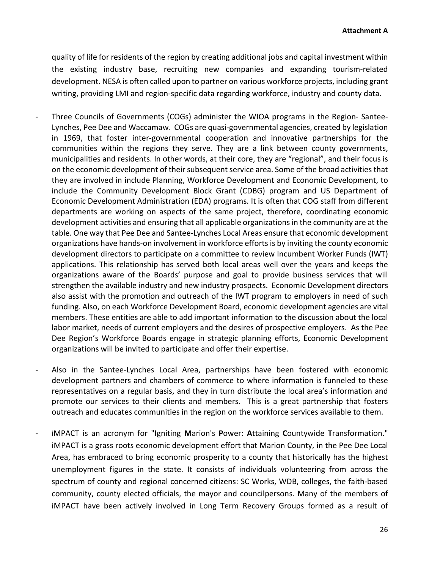quality of life for residents of the region by creating additional jobs and capital investment within the existing industry base, recruiting new companies and expanding tourism-related development. NESA is often called upon to partner on various workforce projects, including grant writing, providing LMI and region-specific data regarding workforce, industry and county data.

- Three Councils of Governments (COGs) administer the WIOA programs in the Region- Santee-Lynches, Pee Dee and Waccamaw. COGs are quasi-governmental agencies, created by legislation in 1969, that foster inter-governmental cooperation and innovative partnerships for the communities within the regions they serve. They are a link between county governments, municipalities and residents. In other words, at their core, they are "regional", and their focus is on the economic development of their subsequent service area. Some of the broad activities that they are involved in include Planning, Workforce Development and Economic Development, to include the Community Development Block Grant (CDBG) program and US Department of Economic Development Administration (EDA) programs. It is often that COG staff from different departments are working on aspects of the same project, therefore, coordinating economic development activities and ensuring that all applicable organizations in the community are at the table. One way that Pee Dee and Santee-Lynches Local Areas ensure that economic development organizations have hands-on involvement in workforce efforts is by inviting the county economic development directors to participate on a committee to review Incumbent Worker Funds (IWT) applications. This relationship has served both local areas well over the years and keeps the organizations aware of the Boards' purpose and goal to provide business services that will strengthen the available industry and new industry prospects. Economic Development directors also assist with the promotion and outreach of the IWT program to employers in need of such funding. Also, on each Workforce Development Board, economic development agencies are vital members. These entities are able to add important information to the discussion about the local labor market, needs of current employers and the desires of prospective employers. As the Pee Dee Region's Workforce Boards engage in strategic planning efforts, Economic Development organizations will be invited to participate and offer their expertise.
- Also in the Santee-Lynches Local Area, partnerships have been fostered with economic development partners and chambers of commerce to where information is funneled to these representatives on a regular basis, and they in turn distribute the local area's information and promote our services to their clients and members. This is a great partnership that fosters outreach and educates communities in the region on the workforce services available to them.
- iMPACT is an acronym for "**I**gniting **M**arion's **P**ower: **A**ttaining **C**ountywide **T**ransformation." iMPACT is a grass roots economic development effort that Marion County, in the Pee Dee Local Area, has embraced to bring economic prosperity to a county that historically has the highest unemployment figures in the state. It consists of individuals volunteering from across the spectrum of county and regional concerned citizens: SC Works, WDB, colleges, the faith-based community, county elected officials, the mayor and councilpersons. Many of the members of iMPACT have been actively involved in Long Term Recovery Groups formed as a result of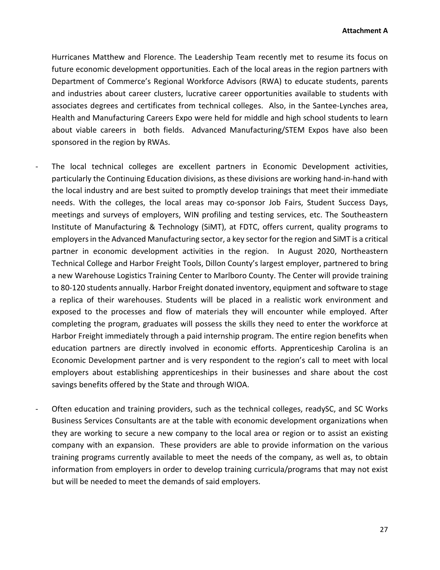Hurricanes Matthew and Florence. The Leadership Team recently met to resume its focus on future economic development opportunities. Each of the local areas in the region partners with Department of Commerce's Regional Workforce Advisors (RWA) to educate students, parents and industries about career clusters, lucrative career opportunities available to students with associates degrees and certificates from technical colleges. Also, in the Santee-Lynches area, Health and Manufacturing Careers Expo were held for middle and high school students to learn about viable careers in both fields. Advanced Manufacturing/STEM Expos have also been sponsored in the region by RWAs.

- The local technical colleges are excellent partners in Economic Development activities, particularly the Continuing Education divisions, as these divisions are working hand-in-hand with the local industry and are best suited to promptly develop trainings that meet their immediate needs. With the colleges, the local areas may co-sponsor Job Fairs, Student Success Days, meetings and surveys of employers, WIN profiling and testing services, etc. The Southeastern Institute of Manufacturing & Technology (SiMT), at FDTC, offers current, quality programs to employers in the Advanced Manufacturing sector, a key sector for the region and SiMT is a critical partner in economic development activities in the region. In August 2020, Northeastern Technical College and Harbor Freight Tools, Dillon County's largest employer, partnered to bring a new Warehouse Logistics Training Center to Marlboro County. The Center will provide training to 80-120 students annually. Harbor Freight donated inventory, equipment and software to stage a replica of their warehouses. Students will be placed in a realistic work environment and exposed to the processes and flow of materials they will encounter while employed. After completing the program, graduates will possess the skills they need to enter the workforce at Harbor Freight immediately through a paid internship program. The entire region benefits when education partners are directly involved in economic efforts. Apprenticeship Carolina is an Economic Development partner and is very respondent to the region's call to meet with local employers about establishing apprenticeships in their businesses and share about the cost savings benefits offered by the State and through WIOA.
- Often education and training providers, such as the technical colleges, readySC, and SC Works Business Services Consultants are at the table with economic development organizations when they are working to secure a new company to the local area or region or to assist an existing company with an expansion. These providers are able to provide information on the various training programs currently available to meet the needs of the company, as well as, to obtain information from employers in order to develop training curricula/programs that may not exist but will be needed to meet the demands of said employers.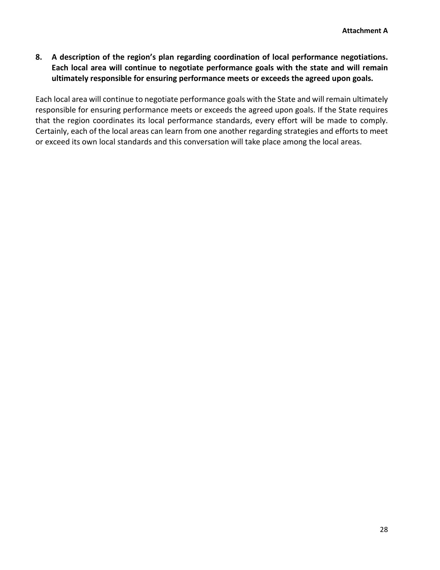**8. A description of the region's plan regarding coordination of local performance negotiations. Each local area will continue to negotiate performance goals with the state and will remain ultimately responsible for ensuring performance meets or exceeds the agreed upon goals.**

Each local area will continue to negotiate performance goals with the State and will remain ultimately responsible for ensuring performance meets or exceeds the agreed upon goals. If the State requires that the region coordinates its local performance standards, every effort will be made to comply. Certainly, each of the local areas can learn from one another regarding strategies and efforts to meet or exceed its own local standards and this conversation will take place among the local areas.